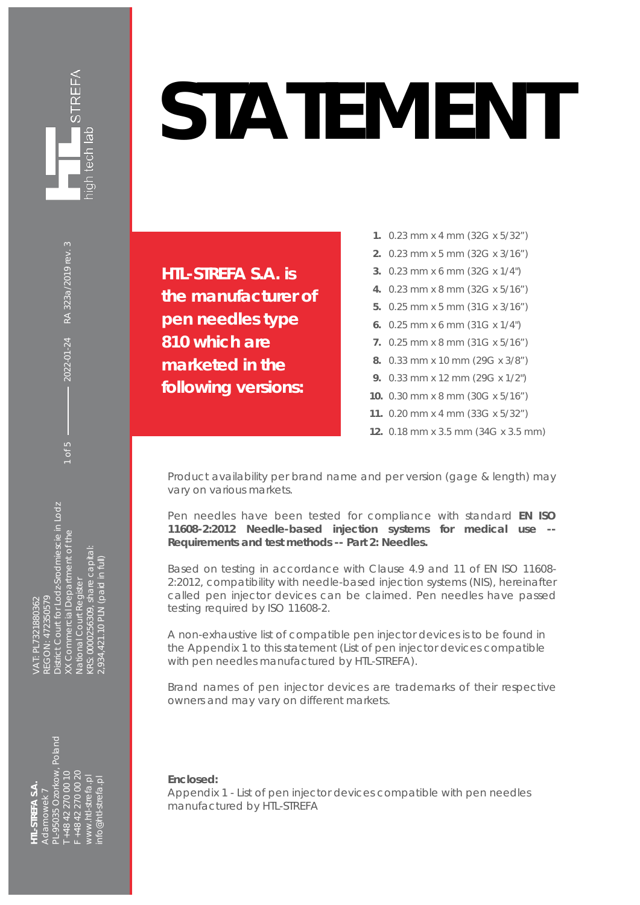

## **STATEMENT**

**HTL-STREFA S.A. is the manufacturer of pen needles type 810 which are marketed in the following versions:** 

- **1.** 0.23 mm x 4 mm (32G x 5/32")
- **2.** 0.23 mm x 5 mm (32G x 3/16")
- **3.** 0.23 mm x 6 mm (32G x 1/4")
- **4.** 0.23 mm x 8 mm (32G x 5/16")
- **5.** 0.25 mm x 5 mm (31G x 3/16")
- **6.** 0.25 mm x 6 mm (31G x 1/4")
- **7.** 0.25 mm x 8 mm (31G x 5/16")
- **8.** 0.33 mm x 10 mm (29G x 3/8")
- **9.** 0.33 mm x 12 mm (29G x 1/2")
- **10.** 0.30 mm x 8 mm (30G x 5/16")
- **11.** 0.20 mm x 4 mm (33G x 5/32")
- **12.** 0.18 mm x 3.5 mm (34G x 3.5 mm)

Product availability per brand name and per version (gage & length) may vary on various markets.

Pen needles have been tested for compliance with standard **EN ISO**  11608-2:2012 Needle-based injection systems for medical use **Requirements and test methods -- Part 2: Needles.** 

Based on testing in accordance with Clause 4.9 and 11 of EN ISO 11608- 2:2012, compatibility with needle-based injection systems (NIS), hereinafter called pen injector devices can be claimed. Pen needles have passed testing required by ISO 11608-2.

A non-exhaustive list of compatible pen injector devices is to be found in the Appendix 1 to this statement (List of pen injector devices compatible with pen needles manufactured by HTL-STREFA).

Brand names of pen injector devices are trademarks of their respective owners and may vary on different markets.

## **Enclosed:**

Appendix 1 - List of pen injector devices compatible with pen needles manufactured by HTL-STREFA

District Court for Lodz-Srodmiescie in Lodz<br>XX Commercial Department of the District Court for Lodz-Srodmiescie in Lodz XX Commercial Department of the KRS: 0000256309, share capital: (RS: 0000256309, share capital (934,421.10 PLN (paid in full) 2,934,421.10 PLN (paid in full) **National Court Register** National Court Register AT PI 7321880362 GON: 472350579 REGON: 472350579 VAT: PL7321880362

1 of 5  $\longrightarrow$  2022-01-24 RA 323a/2019 rev. 3

2022-01-24

RA 323a/2019 rev. 3

L-95035 Ozorkow, Poland PL-95035 Ozorkow, Poland +48 42 270 00 10 +48 42 270 00 20 T +48 42 270 00 10 F +48 42 270 00 20 www.htl-strefa.pl<br>nfo@htl-strefa.pl [www.htl-strefa.pl](http://www.htl-strefa.pl/) [info@htl-strefa.pl](mailto:info@htl-strefa.pl) **HTL-STREFA S.A. IL-STREFA S.A.** damowek 7 Adamowek 7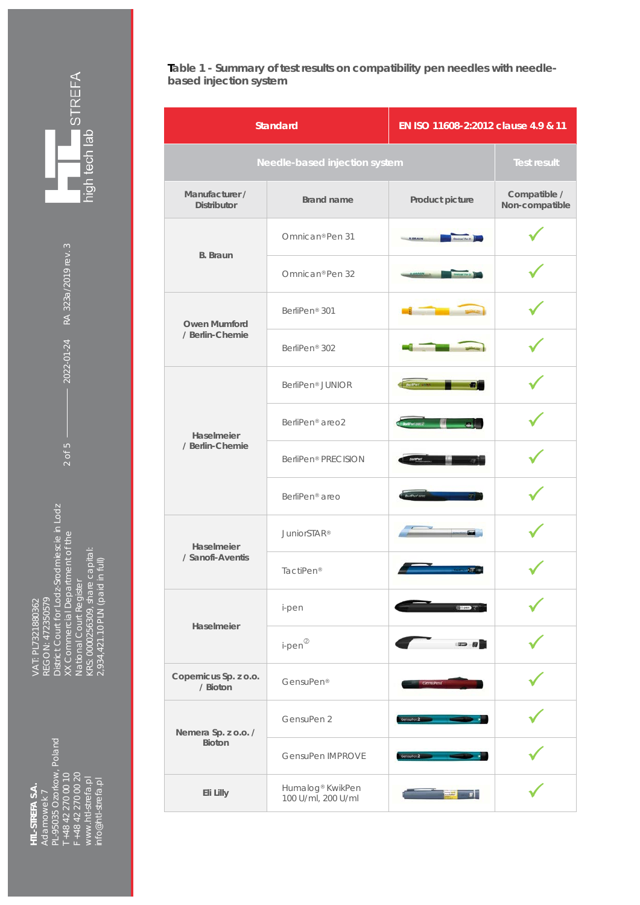**STREFA** high tech lab

 $2 \text{ of } 5 \longrightarrow 2022-01-24 \quad RA \text{ } 323a/2019 \text{ rev.}$ 

2022-01-24 RA 323a/2019 rev. 3

REGON: 472350579<br>District Court for Lodz-Srodmiescie in Lodz<br>XX Commercial Department of the<br>National Court Register<br>KRS: 0000256309, share capital:<br>2,934,421.10 PLN (paid in full) District Court for Lodz-Srodmiescie in Lodz XX Commercial Department of the KRS: 0000256309, share capital: 2,934,421.10 PLN (paid in full) National Court Register VAT: PL7321880362 REGON: 472350579 VAT: PL7321880362

Adamowek 7<br>PL-95035 Ozorkow, Poland<br>T +48 42 270 00 10<br>F +48 42 270 00 20<br>www.htl-strefa.pl<br>info@htl-strefa.pl PL-95035 Ozorkow, Poland T +48 42 270 00 10 F +48 42 270 00 20 [www.htl-strefa.pl](http://www.htl-strefa.pl/) [info@htl-strefa.pl](mailto:info@htl-strefa.pl) **HTL-STREFA S.A.**  HTL-STREFA S.A. Adamowek 7

**Table 1 - Summary of test results on compatibility pen needles with needlebased injection system**

| <b>Standard</b>                        |                                                    | EN ISO 11608-2:2012 clause 4.9 & 11 |                                |
|----------------------------------------|----------------------------------------------------|-------------------------------------|--------------------------------|
| Needle-based injection system          |                                                    |                                     | <b>Test result</b>             |
| Manufacturer /<br><b>Distributor</b>   | <b>Brand name</b>                                  | Product picture                     | Compatible /<br>Non-compatible |
| <b>B.</b> Braun                        | Omnican <sup>®</sup> Pen 31                        | Oneicar Fox 21                      |                                |
|                                        | Omnican <sup>®</sup> Pen 32                        |                                     |                                |
| <b>Owen Mumford</b><br>/ Berlin-Chemie | BerliPen <sup>®</sup> 301                          |                                     |                                |
|                                        | BerliPen <sup>®</sup> 302                          |                                     |                                |
| Haselmeier<br>/ Berlin-Chemie          | BerliPen <sup>®</sup> JUNIOR                       | Berline una                         |                                |
|                                        | BerliPen <sup>®</sup> areo2                        | WPw(and2)                           |                                |
|                                        | BerliPen <sup>®</sup> PRECISION                    |                                     |                                |
|                                        | BerliPen <sup>®</sup> areo                         |                                     |                                |
| Haselmeier<br>/ Sanofi-Aventis         | JuniorSTAR <sup>®</sup>                            |                                     |                                |
|                                        | TactiPen <sup>®</sup>                              |                                     |                                |
| Haselmeier                             | i-pen                                              |                                     |                                |
|                                        | $i$ -pen $^{\circledR}$                            | $\equiv$ 0                          |                                |
| Copernicus Sp. z o.o.<br>/ Bioton      | GensuPen®                                          |                                     |                                |
| Nemera Sp. z o.o. /<br><b>Bioton</b>   | GensuPen 2                                         | Gensuhen 2                          |                                |
|                                        | GensuPen IMPROVE                                   | Gensuhen 2                          |                                |
| Eli Lilly                              | Humalog <sup>®</sup> KwikPen<br>100 U/ml, 200 U/ml | $\overline{z}$                      |                                |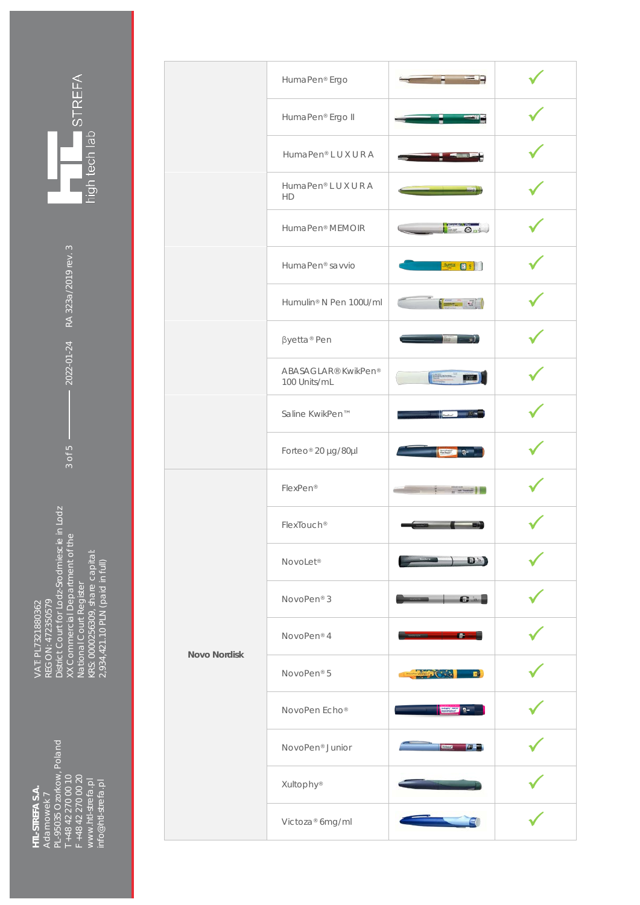VAT: PL7321880362<br>REGON: 472350579<br>District Court for Lodz-Srodmiescie in Lodz<br>XX Commercial Department of the<br>National Court Register<br>KRS: 0000256309, share capital:<br>2,934,421.10 PLN (paid in full) District Court for Lodz-Srodmiescie in Lodz XX Commercial Department of the KRS: 0000256309, share capital: 2,934,421.10 PLN (paid in full) National Court Register REGON: 472350579 VAT: PL7321880362

**HTL-STREFA S.A.**  Adamowek 7

HTL-STREFA S.A. Adamowek 7 PL-95035 Ozorkow, Poland T +48 42 270 00 10 F +48 42 270 00 20 [www.htl-strefa.pl](http://www.htl-strefa.pl/) [info@htl-strefa.pl](mailto:info@htl-strefa.pl)

PL-95035 Ozorkow, Poland<br>T +48 42 270 00 10<br>F +48 42 270 00 10<br>www.htl.strefa.pl<br>info@htl-strefa.pl

 $-2022-01-24$  RA 323a/2019 rev. 3 3 of 5  $\longrightarrow$  2022-01-24 RA 323a/2019 rev. 3

**NOVEL STREFA**<br>high tech lab

|                     | HumaPen <sup>®</sup> Ergo           |                                                                                                                                                                                                                                                                                                                                                                                                         |  |
|---------------------|-------------------------------------|---------------------------------------------------------------------------------------------------------------------------------------------------------------------------------------------------------------------------------------------------------------------------------------------------------------------------------------------------------------------------------------------------------|--|
|                     | HumaPen® Ergo II                    |                                                                                                                                                                                                                                                                                                                                                                                                         |  |
|                     | HumaPen® LUXURA                     |                                                                                                                                                                                                                                                                                                                                                                                                         |  |
|                     | HumaPen® LUXURA<br>HD               |                                                                                                                                                                                                                                                                                                                                                                                                         |  |
|                     | HumaPen <sup>®</sup> MEMOIR         | $=$ $\Theta$ nt                                                                                                                                                                                                                                                                                                                                                                                         |  |
|                     | HumaPen <sup>®</sup> savvio         | $\Delta$ <sub>yetta</sub> $\Box$ 5                                                                                                                                                                                                                                                                                                                                                                      |  |
|                     | Humulin <sup>®</sup> N Pen 100U/ml  | $\left[\frac{1}{2} + \frac{1}{2} + \frac{1}{2} + \frac{1}{2} + \frac{1}{2} + \frac{1}{2} + \frac{1}{2} + \frac{1}{2} + \frac{1}{2} + \frac{1}{2} + \frac{1}{2} + \frac{1}{2} + \frac{1}{2} + \frac{1}{2} + \frac{1}{2} + \frac{1}{2} + \frac{1}{2} + \frac{1}{2} + \frac{1}{2} + \frac{1}{2} + \frac{1}{2} + \frac{1}{2} + \frac{1}{2} + \frac{1}{2} + \frac{1}{2} + \frac{1}{2} + \frac{1}{2} + \frac$ |  |
|                     | βyetta <sup>®</sup> Pen             |                                                                                                                                                                                                                                                                                                                                                                                                         |  |
|                     | ABASAGLAR® KwikPen®<br>100 Units/mL | <b>SERVICE</b><br><b>BY A</b>                                                                                                                                                                                                                                                                                                                                                                           |  |
|                     | Saline KwikPen™                     |                                                                                                                                                                                                                                                                                                                                                                                                         |  |
|                     | Forteo® 20 µg/80µl                  | $\sim$<br><b>Garden</b>                                                                                                                                                                                                                                                                                                                                                                                 |  |
| <b>Novo Nordisk</b> | FlexPen®                            | and of Summer in                                                                                                                                                                                                                                                                                                                                                                                        |  |
|                     | FlexTouch <sup>®</sup>              |                                                                                                                                                                                                                                                                                                                                                                                                         |  |
|                     | NovoLet <sup>®</sup>                | $\mathbf{D}$                                                                                                                                                                                                                                                                                                                                                                                            |  |
|                     | NovoPen <sup>®</sup> 3              | <b>SI 63.</b>                                                                                                                                                                                                                                                                                                                                                                                           |  |
|                     | NovoPen® 4                          | $\bullet$                                                                                                                                                                                                                                                                                                                                                                                               |  |
|                     | NovoPen® 5                          | $ C_{22}$<br><b>PERSONAL</b>                                                                                                                                                                                                                                                                                                                                                                            |  |
|                     | NovoPen Echo®                       | $\frac{1}{2}$ $\frac{1}{2}$ $\frac{1}{2}$ $\frac{1}{2}$ $\frac{1}{2}$ $\frac{1}{2}$ $\frac{1}{2}$ $\frac{1}{2}$ $\frac{1}{2}$ $\frac{1}{2}$ $\frac{1}{2}$ $\frac{1}{2}$ $\frac{1}{2}$ $\frac{1}{2}$ $\frac{1}{2}$ $\frac{1}{2}$ $\frac{1}{2}$ $\frac{1}{2}$ $\frac{1}{2}$ $\frac{1}{2}$ $\frac{1}{2}$ $\frac{1}{2}$                                                                                     |  |
|                     | NovoPen <sup>®</sup> Junior         | <b>Company Strategy</b>                                                                                                                                                                                                                                                                                                                                                                                 |  |
|                     | Xultophy®                           |                                                                                                                                                                                                                                                                                                                                                                                                         |  |
|                     | Victoza <sup>®</sup> 6mg/ml         |                                                                                                                                                                                                                                                                                                                                                                                                         |  |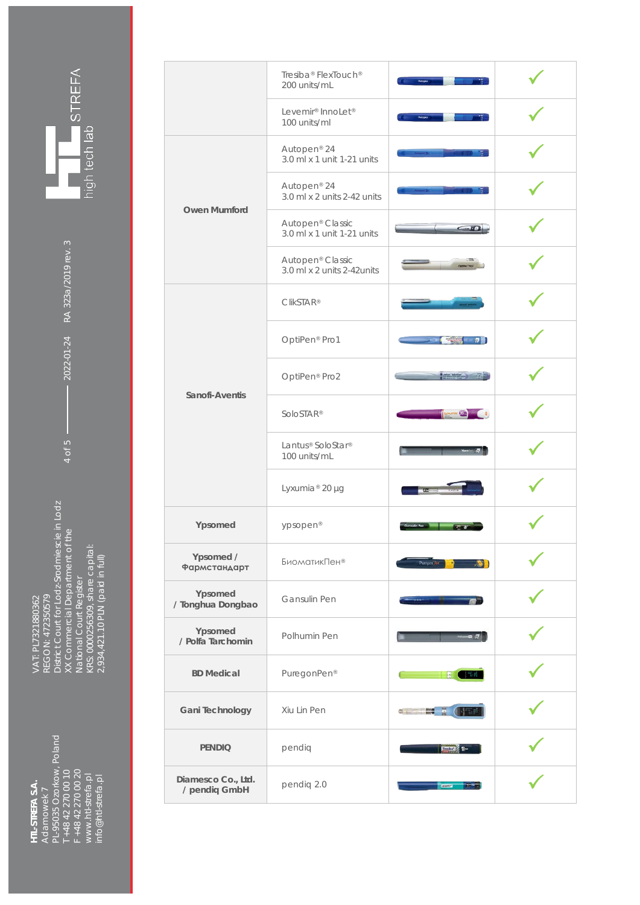

4 of 5  $\longrightarrow$  2022-01-24 RA 323a/2019 rev. 3

 $-2022-01-24$  RA 323a/2019 rev. 3

VAT: PL7321880362<br>REGON: 472350579<br>District Court for Lodz-Srodmiescie in Lodz<br>XX Commercial Department of the<br>National Court Register<br>KRS: 0000256309, share capital:<br>2,934,421.10 PLN (paid in full) District Court for Lodz-Srodmiescie in Lodz XX Commercial Department of the KRS: 0000256309, share capital: 2,934,421.10 PLN (paid in full) National Court Register REGON: 472350579 VAT: PL7321880362

Adamowek 7<br>PL-95035 Ozorkow, Poland<br>T +48 42 270 00 10<br>F +48 42 270 00 20 PL-95035 Ozorkow, Poland www.htl-strefa.pl<br>info@htl-strefa.pl T +48 42 270 00 10 F +48 42 270 00 20 [www.htl-strefa.pl](http://www.htl-strefa.pl/) [info@htl-strefa.pl](mailto:info@htl-strefa.pl) HTL-STREFA S.A. **HTL-STREFA S.A.**  Adamowek 7

|                                     | Tresiba® FlexTouch®<br>200 units/mL                        |                             |  |
|-------------------------------------|------------------------------------------------------------|-----------------------------|--|
|                                     | Levemir <sup>®</sup> InnoLet <sup>®</sup><br>100 units/ml  | Autopca                     |  |
| <b>Owen Mumford</b>                 | Autopen <sup>®</sup> 24<br>3.0 ml x 1 unit 1-21 units      |                             |  |
|                                     | Autopen <sup>®</sup> 24<br>$3.0$ ml x 2 units 2-42 units   |                             |  |
|                                     | Autopen <sup>®</sup> Classic<br>3.0 ml x 1 unit 1-21 units | - 60                        |  |
|                                     | Autopen <sup>®</sup> Classic<br>3.0 ml x 2 units 2-42units |                             |  |
| Sanofi-Aventis                      | <b>ClikSTAR®</b>                                           |                             |  |
|                                     | OptiPen <sup>®</sup> Pro1                                  | $\sigma$ . $\Box$           |  |
|                                     | OptiPen <sup>®</sup> Pro2                                  | Lenis Strike (1)            |  |
|                                     | SoloSTAR <sup>®</sup>                                      | <b>Source 20mg</b>          |  |
|                                     | Lantus® SoloStar®<br>100 units/mL                          |                             |  |
|                                     | Lyxumia <sup>®</sup> 20 µg                                 | $\overline{\mathbf{u}}$     |  |
| Ypsomed                             | ypsopen®                                                   |                             |  |
| Ypsomed /<br>Фармстандарт           | <b>БиоматикПен®</b>                                        | Paregon <sup>2</sup>        |  |
| Ypsomed<br>/ Tonghua Dongbao        | Gansulin Pen                                               |                             |  |
| Ypsomed<br>/ Polfa Tarchomin        | Polhumin Pen                                               |                             |  |
| <b>BD</b> Medical                   | PuregonPen®                                                | 「部員                         |  |
| Gani Technology                     | Xiu Lin Pen                                                | $\frac{1}{2}$<br><b>MAG</b> |  |
| <b>PENDIQ</b>                       | pendiq                                                     | $\frac{1}{2}$               |  |
| Diamesco Co., Ltd.<br>/ pendiq GmbH | pendiq 2.0                                                 | (Diversit)                  |  |